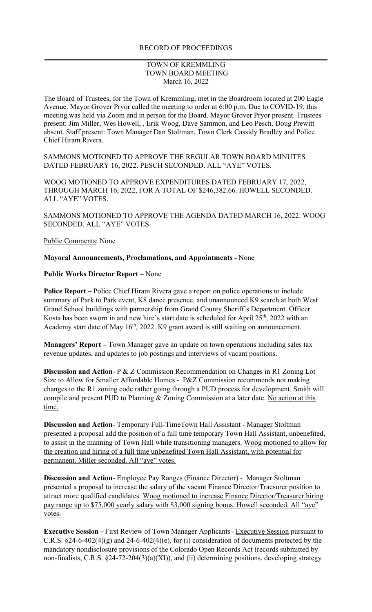## TOWN OF KREMMLING TOWN BOARD MEETING March 16, 2022

The Board of Trustees, for the Town of Kremmling, met in the Boardroom located at 200 Eagle Avenue. Mayor Grover Pryor called the meeting to order at 6:00 p.m. Due to COVID-19, this meeting was held via Zoom and in person for the Board. Mayor Grover Pryor present. Trustees present: Jim Miller, Wes Howell, , Erik Woog, Dave Sammon, and Leo Pesch. Doug Prewitt absent. Staff present: Town Manager Dan Stoltman, Town Clerk Cassidy Bradley and Police Chief Hiram Rivera.

SAMMONS MOTIONED TO APPROVE THE REGULAR TOWN BOARD MINUTES DATED FEBRUARY 16, 2022. PESCH SECONDED. ALL "AYE" VOTES.

WOOG MOTIONED TO APPROVE EXPENDITURES DATED FEBRUARY 17, 2022, THROUGH MARCH 16, 2022, FOR A TOTAL OF \$246,382.66. HOWELL SECONDED. ALL "AYE" VOTES.

SAMMONS MOTIONED TO APPROVE THE AGENDA DATED MARCH 16, 2022. WOOG SECONDED. ALL "AYE" VOTES.

Public Comments: None

## **Mayoral Announcements, Proclamations, and Appointments -** None

## **Public Works Director Report –** None

**Police Report –** Police Chief Hiram Rivera gave a report on police operations to include summary of Park to Park event, K8 dance presence, and unannounced K9 search at both West Grand School buildings with partnership from Grand County Sheriff's Department. Officer Kosta has been sworn in and new hire's start date is scheduled for April 25<sup>th</sup>, 2022 with an Academy start date of May  $16<sup>th</sup>$ , 2022. K9 grant award is still waiting on announcement.

**Managers' Report –** Town Manager gave an update on town operations including sales tax revenue updates, and updates to job postings and interviews of vacant positions.

**Discussion and Action**- P & Z Commission Recommendation on Changes in R1 Zoning Lot Size to Allow for Smaller Affordable Homes - P&Z Commission recommends not making changes to the R1 zoning code rather going through a PUD process for development. Smith will compile and present PUD to Planning & Zoning Commission at a later date. No action at this time.

**Discussion and Action**- Temporary Full-TimeTown Hall Assistant - Manager Stoltman presented a proposal add the position of a full time temporary Town Hall Assistant, unbenefited, to assist in the manning of Town Hall while transitioning managers. Woog motioned to allow for the creation and hiring of a full time unbenefited Town Hall Assistant, with potential for permanent. Miller seconded. All "aye" votes.

**Discussion and Action**- Employee Pay Ranges (Finance Director) - Manager Stoltman presented a proposal to increase the salary of the vacant Finance Director/Traesurer position to attract more qualified candidates. Woog motioned to increase Finance Director/Treasurer hiring pay range up to \$75,000 yearly salary with \$3,000 signing bonus. Howell seconded. All "aye" votes.

**Executive Session** – First Review of Town Manager Applicants - Executive Session pursuant to C.R.S.  $\S 24-6-402(4)(g)$  and  $24-6-402(4)(e)$ , for (i) consideration of documents protected by the mandatory nondisclosure provisions of the Colorado Open Records Act (records submitted by non-finalists, C.R.S. §24-72-204(3)(a)(XI)), and (ii) determining positions, developing strategy